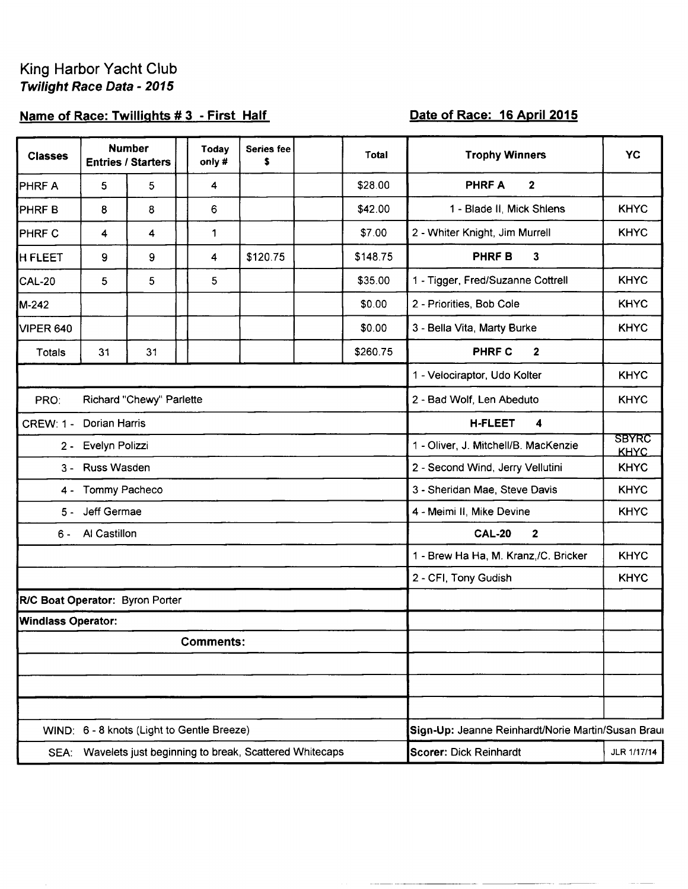## King Harbor Yacht Club Twilight Race Data - 2015

## Name of Race: Twillights #3 - First Half

## Date of Race: 16 April 2015

| <b>Classes</b>                   | <b>Number</b><br><b>Entries / Starters</b> |    | <b>Today</b><br>only#                                 | Series fee<br>\$ |  | Total    | <b>Trophy Winners</b>                                               | <b>YC</b>   |  |
|----------------------------------|--------------------------------------------|----|-------------------------------------------------------|------------------|--|----------|---------------------------------------------------------------------|-------------|--|
| PHRF A                           | 5                                          | 5  | 4                                                     |                  |  | \$28.00  | $\mathbf 2$<br><b>PHRFA</b>                                         |             |  |
| PHRF B                           | 8                                          | 8  | 6                                                     |                  |  | \$42.00  | 1 - Blade II, Mick Shlens                                           | <b>KHYC</b> |  |
| <b>PHRFC</b>                     | 4                                          | 4  | 1                                                     |                  |  | \$7.00   | 2 - Whiter Knight, Jim Murrell                                      | <b>KHYC</b> |  |
| <b>H FLEET</b>                   | 9                                          | 9  | 4                                                     | \$120.75         |  | \$148.75 | PHRF B<br>$\mathbf{3}$                                              |             |  |
| <b>CAL-20</b>                    | 5                                          | 5  | 5                                                     |                  |  | \$35.00  | 1 - Tigger, Fred/Suzanne Cottrell                                   | <b>KHYC</b> |  |
| M-242                            |                                            |    |                                                       |                  |  | \$0.00   | 2 - Priorities, Bob Cole                                            | <b>KHYC</b> |  |
| <b>VIPER 640</b>                 |                                            |    |                                                       |                  |  | \$0.00   | 3 - Bella Vita, Marty Burke                                         | <b>KHYC</b> |  |
| Totals                           | 31                                         | 31 |                                                       |                  |  | \$260.75 | PHRF C<br>$\mathbf{2}$                                              |             |  |
|                                  |                                            |    |                                                       |                  |  |          | 1 - Velociraptor, Udo Kolter                                        | <b>KHYC</b> |  |
| Richard "Chewy" Parlette<br>PRO: |                                            |    |                                                       |                  |  |          | 2 - Bad Wolf, Len Abeduto                                           | <b>KHYC</b> |  |
| CREW: 1 - Dorian Harris          |                                            |    |                                                       |                  |  |          | <b>H-FLEET</b><br>4                                                 |             |  |
| 2 - Evelyn Polizzi               |                                            |    |                                                       |                  |  |          | <b>SBYRC</b><br>1 - Oliver, J. Mitchell/B. MacKenzie<br><b>KHYC</b> |             |  |
| 3 - Russ Wasden                  |                                            |    |                                                       |                  |  |          | <b>KHYC</b><br>2 - Second Wind, Jerry Vellutini                     |             |  |
| Tommy Pacheco<br>4 -             |                                            |    |                                                       |                  |  |          | 3 - Sheridan Mae, Steve Davis                                       | <b>KHYC</b> |  |
| Jeff Germae<br>$5 -$             |                                            |    |                                                       |                  |  |          | 4 - Meimi II, Mike Devine                                           | <b>KHYC</b> |  |
| Al Castillon<br>6 -              |                                            |    |                                                       |                  |  |          | <b>CAL-20</b><br>$\overline{2}$                                     |             |  |
|                                  |                                            |    |                                                       |                  |  |          | 1 - Brew Ha Ha, M. Kranz,/C. Bricker                                | <b>KHYC</b> |  |
|                                  |                                            |    |                                                       |                  |  |          | 2 - CFI, Tony Gudish                                                | <b>KHYC</b> |  |
| R/C Boat Operator: Byron Porter  |                                            |    |                                                       |                  |  |          |                                                                     |             |  |
| <b>Windlass Operator:</b>        |                                            |    |                                                       |                  |  |          |                                                                     |             |  |
| <b>Comments:</b>                 |                                            |    |                                                       |                  |  |          |                                                                     |             |  |
|                                  |                                            |    |                                                       |                  |  |          |                                                                     |             |  |
|                                  |                                            |    |                                                       |                  |  |          |                                                                     |             |  |
|                                  |                                            |    |                                                       |                  |  |          |                                                                     |             |  |
|                                  |                                            |    | WIND: 6 - 8 knots (Light to Gentle Breeze)            |                  |  |          | Sign-Up: Jeanne Reinhardt/Norie Martin/Susan Braul                  |             |  |
| SEA:                             |                                            |    | Wavelets just beginning to break, Scattered Whitecaps |                  |  |          | Scorer: Dick Reinhardt                                              | JLR 1/17/14 |  |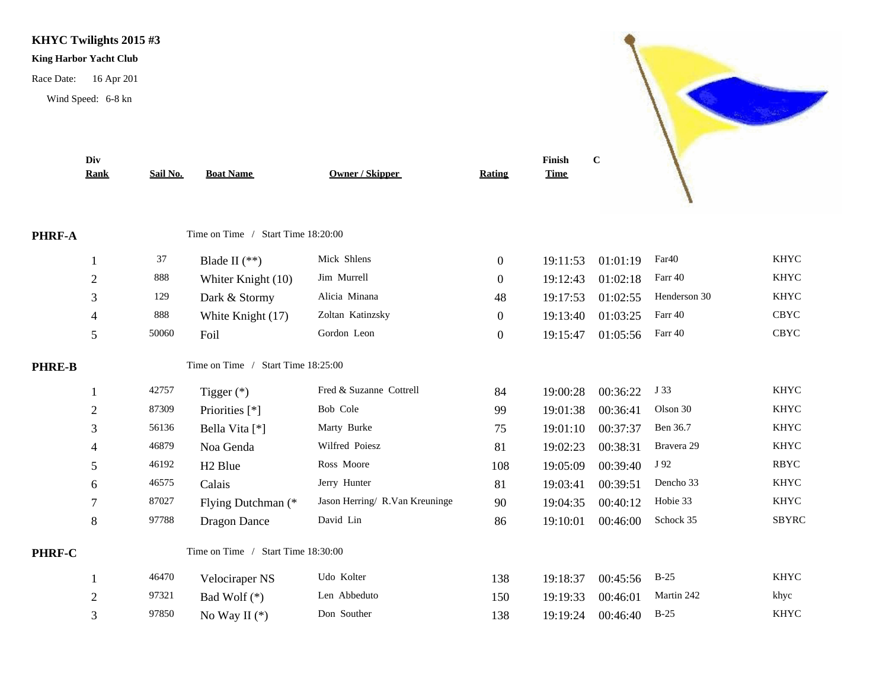**KHYC Twilights 2015 #3**

## **King Harbor Yacht Club**

Race Date: 16 Apr 201

Wind Speed: 6-8 kn



C